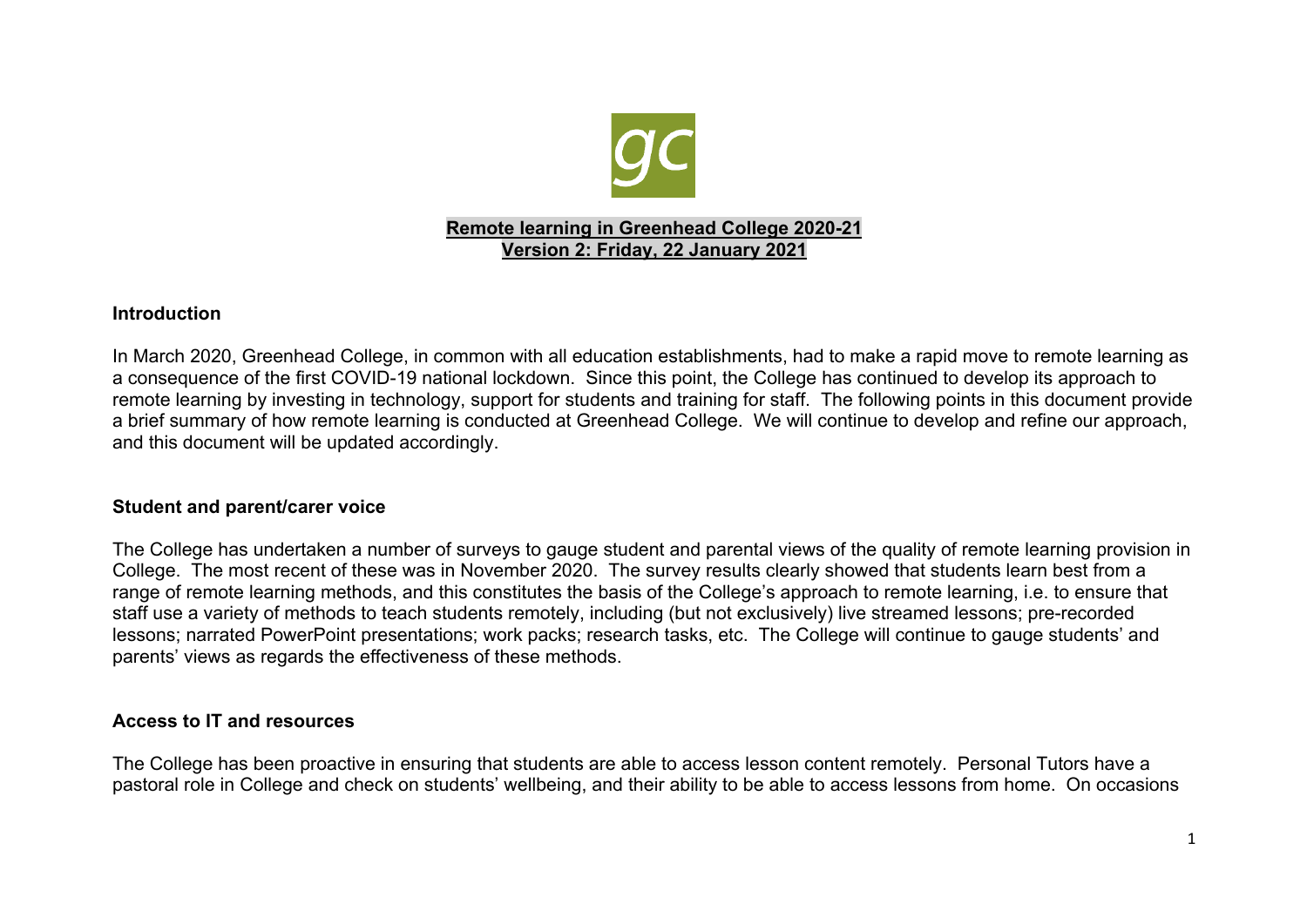

# **Remote learning in Greenhead College 2020-21 Version 2: Friday, 22 January 2021**

## **Introduction**

In March 2020, Greenhead College, in common with all education establishments, had to make a rapid move to remote learning as a consequence of the first COVID-19 national lockdown. Since this point, the College has continued to develop its approach to remote learning by investing in technology, support for students and training for staff. The following points in this document provide a brief summary of how remote learning is conducted at Greenhead College. We will continue to develop and refine our approach, and this document will be updated accordingly.

#### **Student and parent/carer voice**

The College has undertaken a number of surveys to gauge student and parental views of the quality of remote learning provision in College. The most recent of these was in November 2020. The survey results clearly showed that students learn best from a range of remote learning methods, and this constitutes the basis of the College's approach to remote learning, i.e. to ensure that staff use a variety of methods to teach students remotely, including (but not exclusively) live streamed lessons; pre-recorded lessons; narrated PowerPoint presentations; work packs; research tasks, etc. The College will continue to gauge students' and parents' views as regards the effectiveness of these methods.

#### **Access to IT and resources**

The College has been proactive in ensuring that students are able to access lesson content remotely. Personal Tutors have a pastoral role in College and check on students' wellbeing, and their ability to be able to access lessons from home. On occasions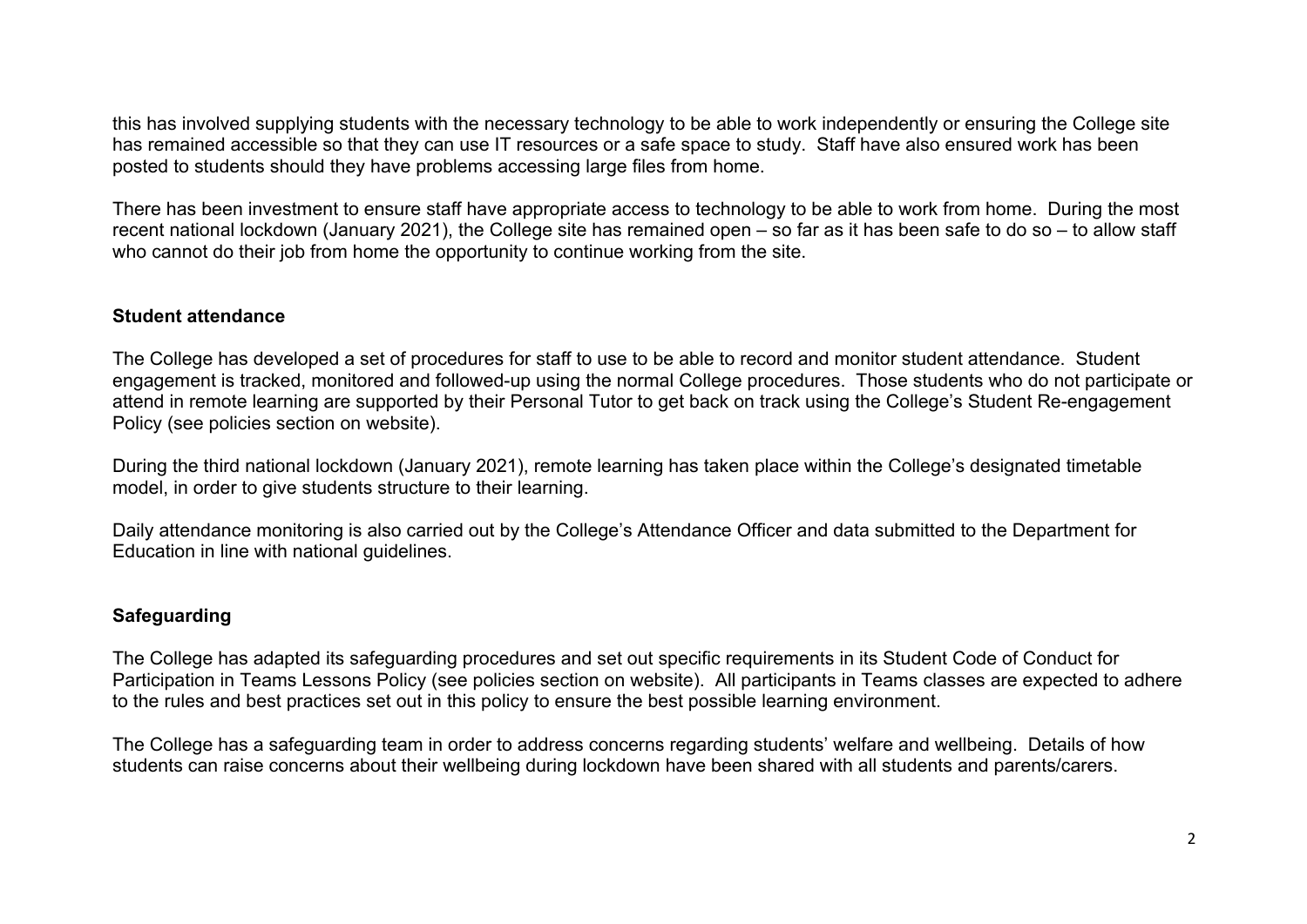this has involved supplying students with the necessary technology to be able to work independently or ensuring the College site has remained accessible so that they can use IT resources or a safe space to study. Staff have also ensured work has been posted to students should they have problems accessing large files from home.

There has been investment to ensure staff have appropriate access to technology to be able to work from home. During the most recent national lockdown (January 2021), the College site has remained open – so far as it has been safe to do so – to allow staff who cannot do their job from home the opportunity to continue working from the site.

## **Student attendance**

The College has developed a set of procedures for staff to use to be able to record and monitor student attendance. Student engagement is tracked, monitored and followed-up using the normal College procedures. Those students who do not participate or attend in remote learning are supported by their Personal Tutor to get back on track using the College's Student Re-engagement Policy (see policies section on website).

During the third national lockdown (January 2021), remote learning has taken place within the College's designated timetable model, in order to give students structure to their learning.

Daily attendance monitoring is also carried out by the College's Attendance Officer and data submitted to the Department for Education in line with national guidelines.

#### **Safeguarding**

The College has adapted its safeguarding procedures and set out specific requirements in its Student Code of Conduct for Participation in Teams Lessons Policy (see policies section on website). All participants in Teams classes are expected to adhere to the rules and best practices set out in this policy to ensure the best possible learning environment.

The College has a safeguarding team in order to address concerns regarding students' welfare and wellbeing. Details of how students can raise concerns about their wellbeing during lockdown have been shared with all students and parents/carers.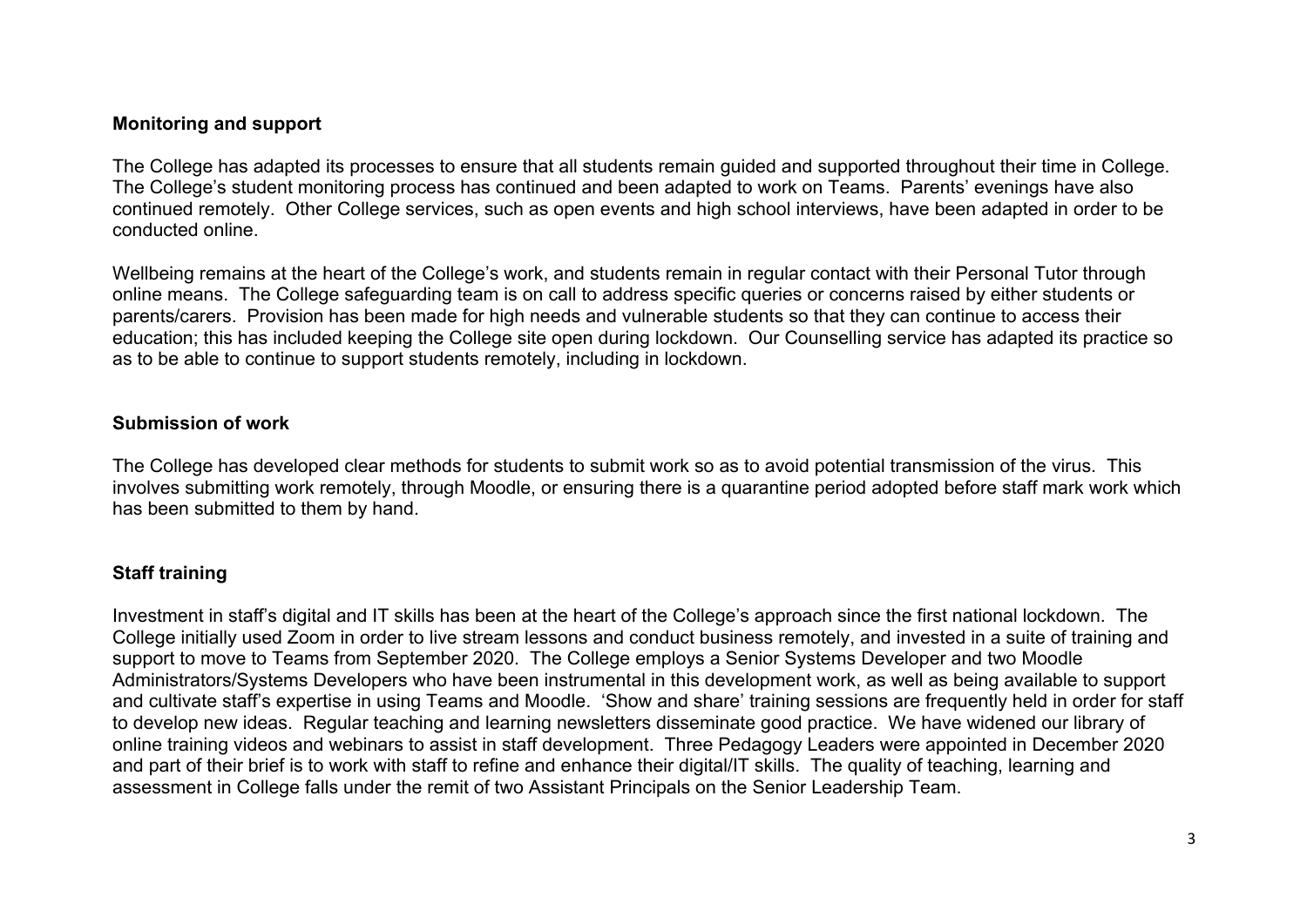## **Monitoring and support**

The College has adapted its processes to ensure that all students remain guided and supported throughout their time in College. The College's student monitoring process has continued and been adapted to work on Teams. Parents' evenings have also continued remotely. Other College services, such as open events and high school interviews, have been adapted in order to be conducted online.

Wellbeing remains at the heart of the College's work, and students remain in regular contact with their Personal Tutor through online means. The College safeguarding team is on call to address specific queries or concerns raised by either students or parents/carers. Provision has been made for high needs and vulnerable students so that they can continue to access their education; this has included keeping the College site open during lockdown. Our Counselling service has adapted its practice so as to be able to continue to support students remotely, including in lockdown.

## **Submission of work**

The College has developed clear methods for students to submit work so as to avoid potential transmission of the virus. This involves submitting work remotely, through Moodle, or ensuring there is a quarantine period adopted before staff mark work which has been submitted to them by hand.

#### **Staff training**

Investment in staff's digital and IT skills has been at the heart of the College's approach since the first national lockdown. The College initially used Zoom in order to live stream lessons and conduct business remotely, and invested in a suite of training and support to move to Teams from September 2020. The College employs a Senior Systems Developer and two Moodle Administrators/Systems Developers who have been instrumental in this development work, as well as being available to support and cultivate staff's expertise in using Teams and Moodle. 'Show and share' training sessions are frequently held in order for staff to develop new ideas. Regular teaching and learning newsletters disseminate good practice. We have widened our library of online training videos and webinars to assist in staff development. Three Pedagogy Leaders were appointed in December 2020 and part of their brief is to work with staff to refine and enhance their digital/IT skills. The quality of teaching, learning and assessment in College falls under the remit of two Assistant Principals on the Senior Leadership Team.